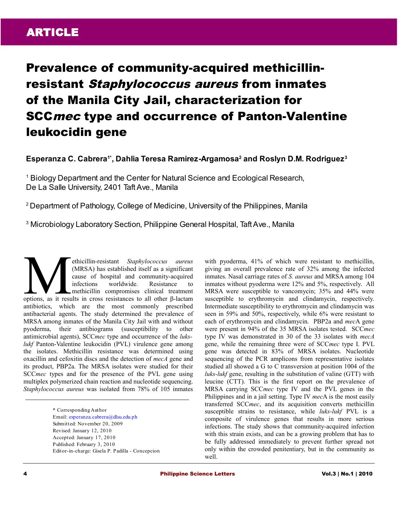# Prevalence of community-acquired methicillinresistant Staphylococcus aureus from inmates of the Manila City Jail, characterization for SCCmec type and occurrence of Panton-Valentine leukocidin gene

**Esperanza C. Cabrera1\*, Dahlia Teresa Ramirez-Argamosa<sup>2</sup> and Roslyn D.M. Rodriguez<sup>3</sup>**

<sup>1</sup> Biology Department and the Center for Natural Science and Ecological Research, De La Salle University, 2401 Taft Ave., Manila

<sup>2</sup>Department of Pathology, College of Medicine, University of the Philippines, Manila

<sup>3</sup> Microbiology Laboratory Section, Philippine General Hospital, Taft Ave., Manila

ethicillin-resistant *Staphylococcus aureus* (MRSA) has established itself as a significant cause of hospital and community-acquired infections worldwide. Resistance to methicillin compromises clinical treatment options, as it results in cross resistances to all other β-lactam<br>
(MRSA) has established itself as a significant<br>
cause of hospital and community-acquired<br>
infections worldwide. Resistance to<br>
options, as it results in c antibiotics, which are the most commonly prescribed antibacterial agents. The study determined the prevalence of MRSA among inmates of the Manila City Jail with and without pyoderma, their antibiograms (susceptibility to other antimicrobial agents), SCC*mec* type and occurrence of the *lukslukf* Panton-Valentine leukocidin (PVL) virulence gene among the isolates. Methicillin resistance was determined using oxacillin and cefoxitin discs and the detection of *mecA* gene and its product, PBP2a. The MRSA isolates were studied for their SCC*mec* types and for the presence of the PVL gene using multiplex polymerized chain reaction and nucleotide sequencing. *Staphylococcus aureus* was isolated from 78% of 105 inmates

> \* Corresponding Author Email: [esperanza.cabrera@dlsu.edu.ph](mailto:esperanza.cabrera@dlsu.edu.ph) Submitted: November 20, 2009 Revised: January 12, 2010 Accepted: January 17, 2010 Published: February 3, 2010 Editor-in-charge: Gisela P. Padilla - Concepcion

with pyoderma, 41% of which were resistant to methicillin, giving an overall prevalence rate of 32% among the infected inmates. Nasal carriage rates of *S. aureus* and MRSA among 104 inmates without pyoderma were 12% and 5%, respectively. All MRSA were susceptible to vancomycin; 35% and 44% were susceptible to erythromycin and clindamycin, respectively. Intermediate susceptibility to erythromycin and clindamycin was seen in 59% and 50%, respectively, while 6% were resistant to each of erythromycin and clindamycin. PBP2a and *mec*A gene were present in 94% of the 35 MRSA isolates tested. SCC*mec* type IV was demonstrated in 30 of the 33 isolates with *mecA* gene, while the remaining three were of SCC*mec* type I. PVL gene was detected in 83% of MRSA isolates. Nucleotide sequencing of the PCR amplicons from representative isolates studied all showed a G to C transversion at position 1004 of the *luks-lukf* gene, resulting in the substitution of valine (GTT) with leucine (CTT). This is the first report on the prevalence of MRSA carrying SCC*mec* type IV and the PVL genes in the Philippines and in a jail setting. Type IV *mec*A is the most easily transferred SCC*mec*, and its acquisition converts methicillin susceptible strains to resistance, while *luks-lukf* PVL is a composite of virulence genes that results in more serious infections. The study shows that community-acquired infection with this strain exists, and can be a growing problem that has to be fully addressed immediately to prevent further spread not only within the crowded penitentiary, but in the community as well.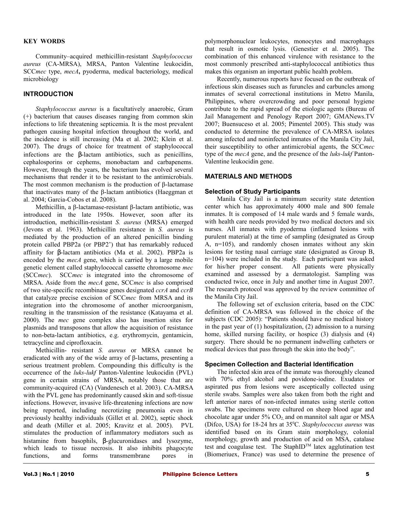#### **KEY WORDS**

Community–acquired methicillin-resistant *Staphylococcus aureus* (CA-MRSA), MRSA, Panton Valentine leukocidin, SCC*mec* type, *mecA***,** pyoderma, medical bacteriology, medical microbiology

# **INTRODUCTION**

*Staphylococcus aureus* is a facultatively anaerobic, Gram (+) bacterium that causes diseases ranging from common skin infections to life threatening septicemia. It is the most prevalent pathogen causing hospital infection throughout the world, and the incidence is still increasing (Ma et al. 2002; Klein et al. 2007). The drugs of choice for treatment of staphylococcal infections are the β-lactam antibiotics, such as penicillins, cephalosporins or cephems, monobactam and carbapenems. However, through the years, the bacterium has evolved several mechanisms that render it to be resistant to the antimicrobials. The most common mechanism is the production of β-lactamase that inactivates many of the β-lactam antibiotics (Haeggman et al. 2004; Garcia-Cobos et al. 2008).

Methicillin, a β-lactamase-resistant β-lactam antibiotic, was introduced in the late 1950s. However, soon after its introduction, methicillin-resistant *S. aureus* (MRSA) emerged (Jevons et al. 1963). Methicillin resistance in *S. aureus* is mediated by the production of an altered penicillin binding protein called PBP2a (or PBP2') that has remarkably reduced affinity for β-lactam antibiotics (Ma et al. 2002). PBP2a is encoded by the *mecA* gene, which is carried by a large mobile genetic element called staphylococcal cassette chromosome *mec* (SCC*mec*). SCC*mec* is integrated into the chromosome of MRSA. Aside from the *mecA* gene, SCC*mec* is also comprised of two site-specific recombinase genes designated *ccrA* and *ccrB* that catalyze precise excision of SCC*mec* from MRSA and its integration into the chromosome of another microorganism, resulting in the transmission of the resistance (Katayama et al. 2000). The *mec* gene complex also has insertion sites for plasmids and transposons that allow the acquisition of resistance to non-beta-lactam antibiotics, e.g. erythromycin, gentamicin, tetracycline and ciprofloxacin.

Methicillin- resistant *S. aureus* or MRSA cannot be eradicated with any of the wide array of β-lactams, presenting a serious treatment problem. Compounding this difficulty is the occurrence of the *luks-lukf* Panton-Valentine leukocidin (PVL) gene in certain strains of MRSA, notably those that are community-acquired (CA) (Vandenesch et al. 2003). CA-MRSA with the PVL gene has predominantly caused skin and soft-tissue infections. However, invasive life-threatening infections are now being reported, including necrotizing pneumonia even in previously healthy individuals (Gillet et al. 2002), septic shock and death (Miller et al. 2005; Kravitz et al. 2005). PVL stimulates the production of inflammatory mediators such as histamine from basophils, β-glucuronidases and lysozyme, which leads to tissue necrosis. It also inhibits phagocyte functions, and forms transmembrane pores in

polymorphonuclear leukocytes, monocytes and macrophages that result in osmotic lysis. (Genestier et al. 2005). The combination of this enhanced virulence with resistance to the most commonly prescribed anti-staphylococcal antibiotics thus makes this organism an important public health problem.

Recently, numerous reports have focused on the outbreak of infectious skin diseases such as furuncles and carbuncles among inmates of several correctional institutions in Metro Manila, Philippines, where overcrowding and poor personal hygiene contribute to the rapid spread of the etiologic agents (Bureau of Jail Management and Penology Report 2007; GMANews.TV 2007; Buensuceso et al. 2005; Pimentel 2005). This study was conducted to determine the prevalence of CA-MRSA isolates among infected and noninfected inmates of the Manila City Jail, their susceptibility to other antimicrobial agents, the SCC*mec* type of the *mecA* gene, and the presence of the *luks-lukf* Panton-Valentine leukocidin gene.

# **MATERIALS AND METHODS**

#### **Selection of Study Participants**

Manila City Jail is a minimum security state detention center which has approximately 4000 male and 800 female inmates. It is composed of 14 male wards and 5 female wards, with health care needs provided by two medical doctors and six nurses. All inmates with pyoderma (inflamed lesions with purulent material) at the time of sampling (designated as Group A, n=105), and randomly chosen inmates without any skin lesions for testing nasal carriage state (designated as Group B, n=104) were included in the study. Each participant was asked for his/her proper consent. All patients were physically examined and assessed by a dermatologist. Sampling was conducted twice, once in July and another time in August 2007. The research protocol was approved by the review committee of the Manila City Jail.

The following set of exclusion criteria, based on the CDC definition of CA-MRSA was followed in the choice of the subjects (CDC 2005): "Patients should have no medical history in the past year of (1) hospitalization, (2) admission to a nursing home, skilled nursing facility, or hospice (3) dialysis and (4) surgery. There should be no permanent indwelling catheters or medical devices that pass through the skin into the body".

#### **Specimen Collection and Bacterial Identification**

The infected skin area of the inmate was thoroughly cleaned with 70% ethyl alcohol and povidone-iodine. Exudates or aspirated pus from lesions were asceptically collected using sterile swabs. Samples were also taken from both the right and left anterior nares of non-infected inmates using sterile cotton swabs. The specimens were cultured on sheep blood agar and chocolate agar under  $5\%$  CO<sub>2</sub> and on mannitol salt agar or MSA (Difco, USA) for 18-24 hrs at 35<sup>o</sup>C. *Staphylococcus aureus* was identified based on its Gram stain morphology, colonial morphology, growth and production of acid on MSA, catalase test and coagulase test. The StaphID™ latex agglutination test (Biomeriuex, France) was used to determine the presence of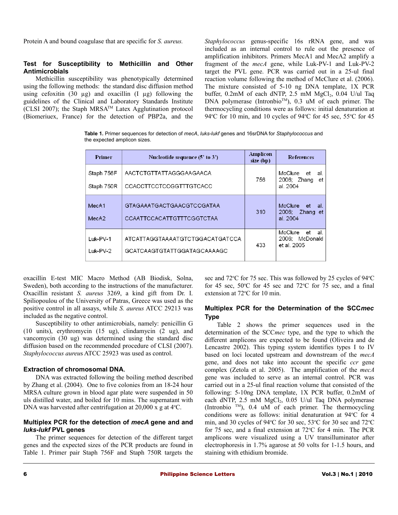Protein A and bound coagulase that are specific for *S. aureus.*

### **Test for Susceptibility to Methicillin and Other Antimicrobials**

Methicillin susceptibility was phenotypically determined using the following methods: the standard disc diffusion method using cefoxitin  $(30 \mu g)$  and oxacillin  $(I \mu g)$  following the guidelines of the Clinical and Laboratory Standards Institute (CLSI 2007); the Staph MRSA<sup>TM</sup> Latex Agglutination protocol (Biomeriuex, France) for the detection of PBP2a, and the *Staphylococcus* genus-specific 16s rRNA gene, and was included as an internal control to rule out the presence of amplification inhibitors. Primers MecA1 and MecA2 amplify a fragment of the *mecA* gene, while Luk-PV-1 and Luk-PV-2 target the PVL gene. PCR was carried out in a 25-ul final reaction volume following the method of McClure et al. (2006). The mixture consisted of 5-10 ng DNA template, 1X PCR buffer,  $0.2 \text{mM}$  of each dNTP,  $2.5 \text{mM}$  MgCl<sub>2</sub>,  $0.04$  U/ul Taq DNA polymerase (Intronbio<sup>TM</sup>), 0.3 uM of each primer. The thermocycling conditions were as follows: initial denaturation at 94 $\degree$ C for 10 min, and 10 cycles of 94 $\degree$ C for 45 sec, 55 $\degree$ C for 45

**Table 1.** Primer sequences for detection of *mecA*, *luks-lukf* genes and 16srDNA for *Staphylococcus* and the expected amplicon sizes.

| Primer                     | Nucleotide sequence (5' to 3')                                        | Amplicon<br>size (bp) | <b>References</b>                                     |
|----------------------------|-----------------------------------------------------------------------|-----------------------|-------------------------------------------------------|
| Staph 756F<br>Staph 750R   | AACTCTGTTATTAGGGAAGAACA<br>CCACCTTCCTCCGGTTTGTCACC                    | 756                   | McClure<br>et<br>al.<br>2006; Zhang<br>et<br>al. 2004 |
| MecA <sub>1</sub><br>MecA2 | <b>GTAGAAATGACTGAACGTCCGATAA</b><br><b>CCAATTCCACATTGTTTCGGTCTAA</b>  | 310                   | McClure<br>et<br>al.<br>2006:<br>Zhang et<br>al. 2004 |
| Luk-PV-1<br>Luk-PV-2       | ATCATTAGGTAAAATGTCTGGACATGATCCA<br><b>GCATCAAGTGTATTGGATAGCAAAAGC</b> | 433                   | McClure<br>et<br>al.<br>2006: McDonald<br>et al. 2005 |

oxacillin E-test MIC Macro Method (AB Biodisk, Solna, Sweden), both according to the instructions of the manufacturer. Oxacillin resistant *S. aureus* 3269, a kind gift from Dr. I. Spiliopoulou of the University of Patras, Greece was used as the positive control in all assays, while *S. aureus* ATCC 29213 was included as the negative control.

Susceptibility to other antimicrobials, namely: penicillin G (10 units), erythromycin (15 ug), clindamycin (2 ug), and vancomycin (30 ug) was determined using the standard disc diffusion based on the recommended procedure of CLSI (2007). *Staphylococcus aureu*s ATCC 25923 was used as control.

#### **Extraction of chromosomal DNA**.

DNA was extracted following the boiling method described by Zhang et al. (2004). One to five colonies from an 18-24 hour MRSA culture grown in blood agar plate were suspended in 50 uls distilled water, and boiled for 10 mins. The supernatant with DNA was harvested after centrifugation at  $20,000 \times g$  at  $4^{\circ}$ C.

# **Multiplex PCR for the detection of** *mecA* **gene and and** *luks-lukf* **PVL genes**

The primer sequences for detection of the different target genes and the expected sizes of the PCR products are found in Table 1. Primer pair Staph 756F and Staph 750R targets the

sec and 72°C for 75 sec. This was followed by 25 cycles of 94°C for 45 sec,  $50^{\circ}$ C for 45 sec and  $72^{\circ}$ C for 75 sec, and a final extension at 72°C for 10 min.

# **Multiplex PCR for the Determination of the SCC***mec* **Type**

Table 2 shows the primer sequences used in the determination of the SCC*mec* type, and the type to which the different amplicons are expected to be found (Oliveira and de Lencastre 2002). This typing system identifies types I to IV based on loci located upstream and downstream of the *mecA* gene, and does not take into account the specific *ccr* gene complex (Zetola et al. 2005). The amplification of the *mecA* gene was included to serve as an internal control. PCR was carried out in a 25-ul final reaction volume that consisted of the following: 5-10ng DNA template, 1X PCR buffer, 0.2mM of each dNTP,  $2.5$  mM MgCl<sub>2</sub>,  $0.05$  U/ul Taq DNA polymerase (Intronbio  $TM$ ), 0.4 uM of each primer. The thermocycling conditions were as follows: initial denaturation at 94°C for 4 min, and 30 cycles of 94 $\degree$ C for 30 sec, 53 $\degree$ C for 30 sec and 72 $\degree$ C for 75 sec, and a final extension at  $72^{\circ}$ C for 4 min. The PCR amplicons were visualized using a UV transilluminator after electrophoresis in 1.7% agarose at 50 volts for 1-1.5 hours, and staining with ethidium bromide.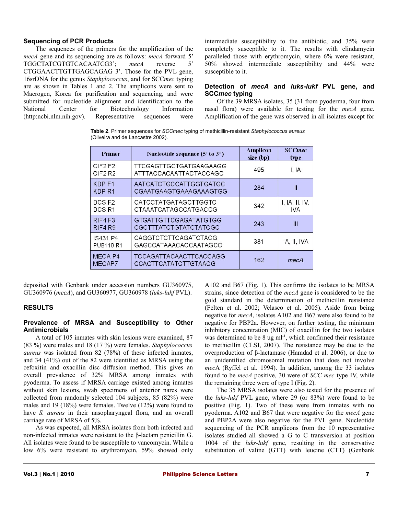#### **Sequencing of PCR Products**

The sequences of the primers for the amplification of the *mecA* gene and its sequencing are as follows: *mecA* forward 5' TGGCTATCGTGTCACAATCG3'; *mecA* reverse 5' CTGGAACTTGTTGAGCAGAG 3'. Those for the PVL gene, 16srDNA for the genus *Staphylococcus*, and for SCC*mec* typing are as shown in Tables 1 and 2. The amplicons were sent to Macrogen, Korea for purification and sequencing, and were submitted for nucleotide alignment and identification to the National Center for Biotechnology Information (http:ncbi.nlm.nih.gov). Representative sequences were

intermediate susceptibility to the antibiotic, and 35% were completely susceptible to it. The results with clindamycin paralleled those with erythromycin, where 6% were resistant, 50% showed intermediate susceptibility and 44% were susceptible to it.

## **Detection of** *mecA* **and** *luks-lukf* **PVL gene, and SCC***mec* **typing**

Of the 39 MRSA isolates, 35 (31 from pyoderma, four from nasal flora) were available for testing for the *mecA* gene. Amplification of the gene was observed in all isolates except for

**Table 2**. Primer sequences for *SCCmec* typing of methicillin-resistant *Staphylococcus aureus* (Oliveira and de Lancastre 2002).

| <b>Primer</b>                             | Nucleotide sequence (5' to 3")                               | Amplicon<br>size (bp) | <b>SCCmec</b><br>type  |
|-------------------------------------------|--------------------------------------------------------------|-----------------------|------------------------|
| CIF2F2<br>CIF <sub>2</sub> R <sub>2</sub> | <b>TTCGAGTTGCTGATGAAGAAGG</b><br>ATTTACCACAATTACTACCAGC      | 495                   | I, IA                  |
| KDP <sub>F1</sub><br>KDP <sub>R1</sub>    | AATCATCTGCCATTGGTGATGC<br>CGAATGAAGTGAAAGAAAGTGG             | 284                   | Ш                      |
| DCS <sub>F2</sub><br>DCS R1               | <b>CATCCTATGATAGCTTGGTC</b><br>CTAAATCATAGCCATGACCG          | 342                   | I, IA, II, IV,<br>IVA. |
| RIF4 F3<br>RIF4 R9                        | <b>GTGATTGTTCGAGATATGTGG</b><br><b>CGCTTTATCTGTATCTATCGC</b> | 243                   | Ш                      |
| IS431 P4<br><b>PUB110 R1</b>              | CAGGTCTCTTCAGATCTACG<br>GAGCCATAAACACCAATAGCC                | 381                   | IA, II, IVA            |
| MECA <sub>P4</sub><br>MECAP7              | <b>TCCAGATTACAACTTCACCAGG</b><br>CCACTTCATATCTTGTAACG        | 162                   | mecA                   |

deposited with Genbank under accession numbers GU360975, GU360976 (*mecA*), and GU360977, GU360978 (*luks-lukf* PVL).

# **RESULTS**

### **Prevalence of MRSA and Susceptibility to Other Antimicrobials**

A total of 105 inmates with skin lesions were examined, 87 (83 %) were males and 18 (17 %) were females. *Staphylococcus aureus* was isolated from 82 (78%) of these infected inmates, and 34 (41%) out of the 82 were identified as MRSA using the cefoxitin and oxacillin disc diffusion method. This gives an overall prevalence of 32% MRSA among inmates with pyoderma. To assess if MRSA carriage existed among inmates without skin lesions, swab specimens of anterior nares were collected from randomly selected 104 subjects, 85 (82%) were males and 19 (18%) were females. Twelve (12%) were found to have *S. aureus* in their nasopharyngeal flora, and an overall carriage rate of MRSA of 5%.

As was expected, all MRSA isolates from both infected and non-infected inmates were resistant to the β-lactam penicillin G. All isolates were found to be susceptible to vancomycin. While a low 6% were resistant to erythromycin, 59% showed only A102 and B67 (Fig. 1). This confirms the isolates to be MRSA strains, since detection of the *mecA* gene is considered to be the gold standard in the determination of methicillin resistance (Felten et al. 2002; Velasco et al. 2005). Aside from being negative for *mecA*, isolates A102 and B67 were also found to be negative for PBP2a. However, on further testing, the minimum inhibitory concentration (MIC) of oxacillin for the two isolates was determined to be  $8 \text{ ug } \text{ml}^{-1}$ , which confirmed their resistance to methicillin (CLSI, 2007). The resistance may be due to the overproduction of β-lactamase (Hamdad et al. 2006), or due to an unidentified chromosomal mutation that does not involve *mec*A (Ryffel et al. 1994). In addition, among the 33 isolates found to be *mecA* positive, 30 were of *SCC mec* type IV, while the remaining three were of type I (Fig. 2).

The 35 MRSA isolates were also tested for the presence of the *luks-lukf* PVL gene, where 29 (or 83%) were found to be positive (Fig. 1). Two of these were from inmates with no pyoderma. A102 and B67 that were negative for the *mecA* gene and PBP2A were also negative for the PVL gene. Nucleotide sequencing of the PCR amplicons from the 10 representative isolates studied all showed a G to C transversion at position 1004 of the *luks-lukf* gene, resulting in the conservative substitution of valine (GTT) with leucine (CTT) (Genbank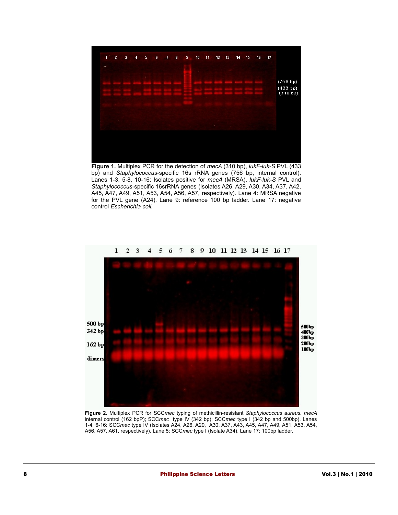

bp) and *Staphylococcus*-specific 16s rRNA genes (756 bp, internal control). Lanes 1-3, 5-8, 10-16: Isolates positive for *mecA* (MRSA), *lukF-luk-S* PVL and *Staphylococcus*-specific 16srRNA genes (Isolates A26, A29, A30, A34, A37, A42, A45, A47, A49, A51, A53, A54, A56, A57, respectively). Lane 4: MRSA negative for the PVL gene (A24). Lane 9: reference 100 bp ladder. Lane 17: negative control *Escherichia coli.*



**Figure 2.** Multiplex PCR for SCC*mec* typing of methicillin-resistant *Staphylococcus aureus. mecA* internal control (162 bpP); SCC*mec* type IV (342 bp); SCC*mec* type I (342 bp and 500bp). Lanes 1-4, 6-16: SCC*mec* type IV (Isolates A24, A26, A29, A30, A37, A43, A45, A47, A49, A51, A53, A54, A56, A57, A61, respectively). Lane 5: SCC*mec* type I (Isolate A34). Lane 17: 100bp ladder.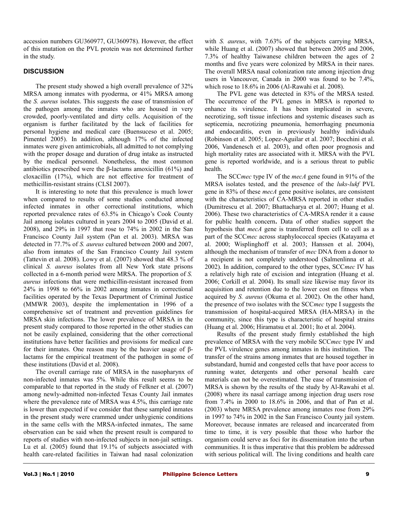accession numbers GU360977, GU360978). However, the effect of this mutation on the PVL protein was not determined further in the study.

# **DISCUSSION**

The present study showed a high overall prevalence of 32% MRSA among inmates with pyoderma, or 41% MRSA among the *S. aureus* isolates. This suggests the ease of transmission of the pathogen among the inmates who are housed in very crowded, poorly-ventilated and dirty cells. Acquisition of the organism is further facilitated by the lack of facilities for personal hygiene and medical care (Buensuceso et al. 2005; Pimentel 2005). In addition, although 17% of the infected inmates were given antimicrobials, all admitted to not complying with the proper dosage and duration of drug intake as instructed by the medical personnel. Nonetheless, the most common antibiotics prescribed were the β-lactams amoxicillin  $(61%)$  and cloxacillin (17%), which are not effective for treatment of methicillin-resistant strains (CLSI 2007).

It is interesting to note that this prevalence is much lower when compared to results of some studies conducted among infected inmates in other correctional institutions, which reported prevalence rates of 63.5% in Chicago's Cook County Jail among isolates cultured in years 2004 to 2005 (David et al. 2008), and 29% in 1997 that rose to 74% in 2002 in the San Francisco County Jail system (Pan et al. 2003). MRSA was detected in 77.7% of *S. aureus* cultured between 2000 and 2007, also from inmates of the San Francisco County Jail system (Tattevin et al. 2008). Lowy et al. (2007) showed that 48.3 % of clinical *S. aureus* isolates from all New York state prisons collected in a 6-month period were MRSA. The proportion of *S. aureus* infections that were methicillin-resistant increased from 24% in 1998 to 66% in 2002 among inmates in correctional facilities operated by the Texas Department of Criminal Justice (MMWR 2003), despite the implementation in 1996 of a comprehensive set of treatment and prevention guidelines for MRSA skin infections. The lower prevalence of MRSA in the present study compared to those reported in the other studies can not be easily explained, considering that the other correctional institutions have better facilities and provisions for medical care for their inmates. One reason may be the heavier usage of βlactams for the empirical treatment of the pathogen in some of these institutions (David et al. 2008).

The overall carriage rate of MRSA in the nasopharynx of non-infected inmates was 5%. While this result seems to be comparable to that reported in the study of Felkner et al. (2007) among newly-admitted non-infected Texas County Jail inmates where the prevalence rate of MRSA was 4.5%, this carriage rate is lower than expected if we consider that these sampled inmates in the present study were crammed under unhygienic conditions in the same cells with the MRSA-infected inmates,. The same observation can be said when the present result is compared to reports of studies with non-infected subjects in non-jail settings. Lu et al. (2005) found that 19.1% of subjects associated with health care-related facilities in Taiwan had nasal colonization

with *S. aureus*, with 7.63% of the subjects carrying MRSA, while Huang et al. (2007) showed that between 2005 and 2006, 7.3% of healthy Taiwanese children between the ages of 2 months and five years were colonized by MRSA in their nares. The overall MRSA nasal colonization rate among injection drug users in Vancouver, Canada in 2000 was found to be 7.4%, which rose to 18.6% in 2006 (Al-Rawahi et al. 2008).

The PVL gene was detected in 83% of the MRSA tested. The occurrence of the PVL genes in MRSA is reported to enhance its virulence. It has been implicated in severe, necrotizing, soft tissue infections and systemic diseases such as septicemia, necrotizing pneumonia, hemorrhaging pneumonia and endocarditis, even in previously healthy individuals (Robinson et al. 2005; Lopez-Aguilar et al. 2007; Bocchini et al. 2006, Vandenesch et al. 2003), and often poor prognosis and high mortality rates are associated with it. MRSA with the PVL gene is reported worldwide, and is a serious threat to public health.

The SCC*mec* type IV of the *mecA* gene found in 91% of the MRSA isolates tested, and the presence of the *luks-lukf* PVL gene in 83% of these *mecA* gene positive isolates, are consistent with the characteristics of CA-MRSA reported in other studies (Dumitrescu et al. 2007; Bhattacharya et al. 2007; Huang et al. 2006). These two characteristics of CA-MRSA render it a cause for public health concern**.** Data of other studies support the hypothesis that *mecA* gene is transferred from cell to cell as a part of the SCC*mec* across staphylococcal species (Katayama et al. 2000; Wisplinghoff et al. 2003; Hanssen et al. 2004), although the mechanism of transfer of *mec* DNA from a donor to a recipient is not completely understood (Salmenlinna et al. 2002). In addition, compared to the other types, SCC*mec* IV has a relatively high rate of excision and integration (Huang et al. 2006; Corkill et al. 2004). Its small size likewise may favor its acquisition and retention due to the lower cost on fitness when acquired by *S. aureus* (Okuma et al. 2002). On the other hand, the presence of two isolates with the SCC*mec* type I suggests the transmission of hospital-acquired MRSA (HA-MRSA) in the community, since this type is characteristic of hospital strains (Huang et al. 2006; Hiramatsu et al. 2001; Ito et al. 2004).

Results of the present study firmly established the high prevalence of MRSA with the very mobile SCC*mec* type IV and the PVL virulence genes among inmates in this institution. The transfer of the strains among inmates that are housed together in substandard, humid and congested cells that have poor access to running water, detergents and other personal health care materials can not be overestimated. The ease of transmission of MRSA is shown by the results of the study by Al-Rawahi et al. (2008) where its nasal carriage among injection drug users rose from 7.4% in 2000 to 18.6% in 2006, and that of Pan et al. (2003) where MRSA prevalence among inmates rose from 29% in 1997 to 74% in 2002 in the San Francisco County jail system. Moreover, because inmates are released and incarcerated from time to time, it is very possible that those who harbor the organism could serve as foci for its dissemination into the urban communities. It is thus imperative that this problem be addressed with serious political will. The living conditions and health care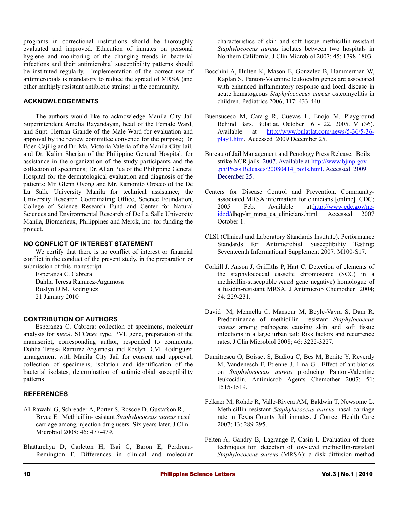programs in correctional institutions should be thoroughly evaluated and improved. Education of inmates on personal hygiene and monitoring of the changing trends in bacterial infections and their antimicrobial susceptibility patterns should be instituted regularly. Implementation of the correct use of antimicrobials is mandatory to reduce the spread of MRSA (and other multiply resistant antibiotic strains) in the community.

# **ACKNOWLEDGEMENTS**

The authors would like to acknowledge Manila City Jail Superintendent Amelia Rayandayan, head of the Female Ward, and Supt. Hernan Grande of the Male Ward for evaluation and approval by the review committee convened for the purpose; Dr. Eden Cajilig and Dr. Ma. Victoria Valeria of the Manila City Jail, and Dr. Kalim Sherjan of the Philippine General Hospital, for assistance in the organization of the study participants and the collection of specimens; Dr. Allan Pua of the Philippine General Hospital for the dermatological evaluation and diagnosis of the patients; Mr. Glenn Oyong and Mr. Ramonito Oroceo of the De La Salle University Manila for technical assistance; the University Research Coordinating Office, Science Foundation, College of Science Research Fund and Center for Natural Sciences and Environmental Research of De La Salle University Manila, Biomerieux, Philippines and Merck, Inc. for funding the project.

#### **NO CONFLICT OF INTEREST STATEMENT**

We certify that there is no conflict of interest or financial conflict in the conduct of the present study, in the preparation or submission of this manuscript.

Esperanza C. Cabrera Dahlia Teresa Ramirez-Argamosa Roslyn D.M. Rodriguez 21 January 2010

#### **CONTRIBUTION OF AUTHORS**

Esperanza C. Cabrera: collection of specimens, molecular analysis for *mecA*, SCC*mec* type, PVL gene, preparation of the manuscript, corresponding author, responded to comments; Dahlia Teresa Ramirez-Argamosa and Roslyn D.M. Rodriguez: arrangement with Manila City Jail for consent and approval, collection of specimens, isolation and identification of the bacterial isolates, determination of antimicrobial susceptibility patterns

## **REFERENCES**

- Al-Rawahi G, Schreader A, Porter S, Roscoe D, Gustafson R, Bryce E. Methicillin-resistant *Staphylococcus aureus* nasal carriage among injection drug users: Six years later. J Clin Microbiol 2008; 46: 477-479.
- Bhattarchya D, Carleton H, Tsai C, Baron E, Perdreau-Remington F. Differences in clinical and molecular

characteristics of skin and soft tissue methicillin-resistant *Staphylococcus aureus* isolates between two hospitals in Northern California. J Clin Microbiol 2007; 45: 1798-1803.

- Bocchini A, Hulten K, Mason E, Gonzalez B, Hammerman W, Kaplan S. Panton-Valentine leukocidin genes are associated with enhanced inflammatory response and local disease in acute hematogeous *Staphylococcus aureus* osteomyelitis in children. Pediatrics 2006; 117: 433-440.
- Buensuceso M, Caraig R, Cuevas L, Enojo M. Playground Behind Bars. Bulatlat. October 16 - 22, 2005. V (36). Available at [http://www.bulatlat.com/news/5-36/5-36](http://www.bulatlat.com/news/5-36/5-36-play1.htm) [play1.htm.](http://www.bulatlat.com/news/5-36/5-36-play1.htm) Accessed 2009 December 25.
- Bureau of Jail Management and Penology Press Release. Boils strike NCR jails. 2007. Available at [http://www.bjmp.gov-](http://www.bjmp.gov.ph/Press)  [.ph/Press](http://www.bjmp.gov.ph/Press) [Releases/20080414\\_boils.html.](http://www.bjmp.gov.ph/Press%20Releases/20080414_boils.html) Accessed 2009 December 25.
- Centers for Disease Control and Prevention. Communityassociated MRSA information for clinicians [online]. CDC; 2005 Feb. Available at[:http://www.cdc.gov/nc](http://www.cdc.gov/ncidod/)[idod/d](http://www.cdc.gov/ncidod/)hqp/ar\_mrsa\_ca\_clinicians.html. Accessed 2007 October 1.
- CLSI (Clinical and Laboratory Standards Institute). Performance Standards for Antimicrobial Susceptibility Testing; Seventeenth Informational Supplement 2007. M100-S17.
- Corkill J, Anson J, Griffiths P, Hart C. Detection of elements of the staphylococcal cassette chromosome (SCC) in a methicillin-susceptible *mecA* gene negative) homologue of a fusidin-resistant MRSA. J Antimicrob Chemother 2004; 54: 229-231.
- David M, Mennella C, Mansour M, Boyle-Vavra S, Dam R. Predominance of methicillin- resistant *Staphylococcus aureus* among pathogens causing skin and soft tissue infections in a large urban jail: Risk factors and recurrence rates. J Clin Microbiol 2008; 46: 3222-3227.
- Dumitrescu O, Boisset S, Badiou C, Bes M, Benito Y, Reverdy M, Vandenesch F, Etienne J, Lina G . Effect of antibiotics on *Staphylococcus aureus* producing Panton-Valentine leukocidin. Antimicrob Agents Chemother 2007; 51: 1515-1519.
- Felkner M, Rohde R, Valle-Rivera AM, Baldwin T, Newsome L. Methicillin resistant *Staphylococcus aureus* nasal carriage rate in Texas County Jail inmates. J Correct Health Care 2007; 13: 289-295.
- Felten A, Gandry B, Lagrange P, Casin I. Evaluation of three techniques for detection of low-level methicillin-resistant *Staphylococcus aureus* (MRSA): a disk diffusion method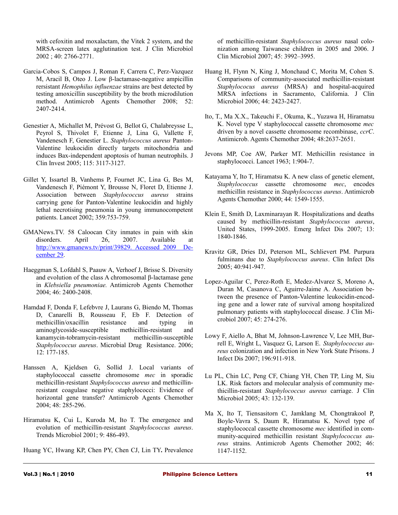with cefoxitin and moxalactam, the Vitek 2 system, and the MRSA-screen latex agglutination test. J Clin Microbiol 2002 ; 40: 2766-2771.

- Garcia-Cobos S, Campos J, Roman F, Carrera C, Perz-Vazquez M, Aracil B, Oteo J. Low β-lactamase-negative ampicillin rersistant *Hemophilus influenzae* strains are best detected by testing amoxicillin susceptibility by the broth microdilution method. Antimicrob Agents Chemother 2008; 52: 2407-2414.
- Genestier A, Michallet M, Prévost G, Bellot G, Chalabreysse L, Peyrol S, Thivolet F, Etienne J, Lina G, Vallette F, Vandenesch F, Genestier L. *Staphylococcus aureus* Panton-Valentine leukocidin directly targets mitochondria and induces Bax-independent apoptosis of human neutrophils. J Clin Invest 2005; 115: 3117-3127.
- Gillet Y, Issartel B, Vanhems P, Fournet JC, Lina G, Bes M, Vandenesch F, Piémont Y, Brousse N, Floret D, Etienne J. Association between *Staphylococcus aureus* strains carrying gene for Panton-Valentine leukocidin and highly lethal necrotising pneumonia in young immunocompetent patients. Lancet 2002; 359:753-759.
- GMANews.TV. 58 Caloocan City inmates in pain with skin disorders. April 26, 2007. Available at [http://www.gmanews.tv/print/39829. Accessed 2009 De](http://www.gmanews.tv/print/39829.%20Accessed%202009%20December%2029)[cember 29.](http://www.gmanews.tv/print/39829.%20Accessed%202009%20December%2029)
- Haeggman S, Lofdahl S, Paauw A, Verhoef J, Brisse S. Diversity and evolution of the class A chromosomal β-lactamase gene in *Klebsiella pneumoniae.* Antimicrob Agents Chemother 2004; 46: 2400-2408.
- Hamdad F, Donda F, Lefebvre J, Laurans G, Biendo M, Thomas D, Canarelli B, Rousseau F, Eb F. Detection of methicillin/oxacillin resistance and typing in aminoglycoside-susceptible methicillin-resistant and kanamycin-tobramycin-resistant methicillin-susceptible *Staphylococcus aureus*. Microbial Drug Resistance. 2006; 12: 177-185.
- Hanssen A, Kjeldsen G, Sollid J. Local variants of staphylococcal cassette chromosome *mec* in sporadic methicillin-resistant *Staphylococcus aureus* and methicillinresistant coagulase negative staphylococci: Evidence of horizontal gene transfer? Antimicrob Agents Chemother 2004; 48: 285-296.
- Hiramatsu K, Cui L, Kuroda M, Ito T. The emergence and evolution of methicillin-resistant *Staphylococcus aureus*. Trends Microbiol 2001; 9: 486-493.
- Huang YC, Hwang KP, Chen PY, Chen CJ, Lin TY**.** Prevalence

of methicillin-resistant *Staphylococcus aureus* nasal colonization among Taiwanese children in 2005 and 2006. J Clin Microbiol 2007; 45: 3992–3995.

- Huang H, Flynn N, King J, Monchaud C, Morita M, Cohen S. Comparisons of community-associated methicillin-resistant *Staphylococus aureus* (MRSA) and hospital-acquired MRSA infections in Sacramento, California. J Clin Microbiol 2006; 44: 2423-2427.
- Ito, T., Ma X.X., Takeuchi F., Okuma, K., Yuzawa H, Hiramatsu K. Novel type V staphylococcal cassette chromosome *mec* driven by a novel cassette chromosome recombinase, *ccrC*. Antimicrob. Agents Chemother 2004; 48:2637-2651.
- Jevons MP, Coe AW, Parker MT. Methicillin resistance in staphylococci. Lancet 1963; 1:904-7.
- Katayama Y, Ito T, Hiramatsu K. A new class of genetic element, *Staphylococcus* cassette chromosome *mec*, encodes methicillin resistance in *Staphylococcus aureus*. Antimicrob Agents Chemother 2000; 44: 1549-1555.
- Klein E, Smith D, Laxminarayan R. Hospitalizations and deaths caused by methicillin-resistant *Staphylococcus aureus*, United States, 1999-2005. Emerg Infect Dis 2007; 13: 1840-1846.
- Kravitz GR, Dries DJ, Peterson ML, Schlievert PM. Purpura fulminans due to *Staphylococcus aureus*. Clin Infect Dis 2005; 40:941-947.
- Lopez-Aguilar C, Perez-Roth E, Medez-Alvarez S, Moreno A, Duran M, Casanova C, Aguirre-Jaime A. Association between the presence of Panton-Valentine leukocidin-encoding gene and a lower rate of survival among hospitalized pulmonary patients with staphylococcal disease. J Clin Microbiol 2007; 45: 274-276.
- Lowy F, Aiello A, Bhat M, Johnson-Lawrence V, Lee MH, Burrell E, Wright L, Vasquez G, Larson E. *Staphylococcus aureus* colonization and infection in New York State Prisons. J Infect Dis 2007; 196:911-918.
- Lu PL, Chin LC, Peng CF, Chiang YH, Chen TP, Ling M, Siu LK. Risk factors and molecular analysis of community methicillin-resistant *Staphylococcus aureus* carriage. J Clin Microbiol 2005; 43: 132-139.
- Ma X, Ito T, Tiensasitorn C, Jamklang M, Chongtrakool P, Boyle-Vavra S, Daum R, Hiramatsu K. Novel type of staphylococcal cassette chromosome *mec* identified in community-acquired methicillin resistant *Staphylococcus aureus* strains. Antimicrob Agents Chemother 2002; 46: 1147-1152.